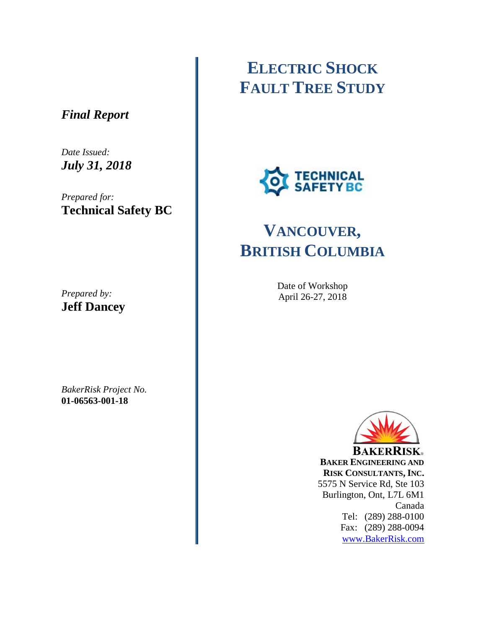### *Final Report*

*Date Issued: July 31, 2018*

*Prepared for:* **Technical Safety BC**

*Prepared by:* **Jeff Dancey**

*BakerRisk Project No.* **01-06563-001-18**

# **ELECTRIC SHOCK FAULT TREE STUDY**



# **VANCOUVER, BRITISH COLUMBIA**

Date of Workshop April 26-27, 2018



**BAKERRISK BAKER ENGINEERING AND RISK CONSULTANTS, INC.** 5575 N Service Rd, Ste 103 Burlington, Ont, L7L 6M1 Canada Tel: (289) 288-0100 Fax: (289) 288-0094 [www.BakerRisk.com](http://www.bakerrisk.com/)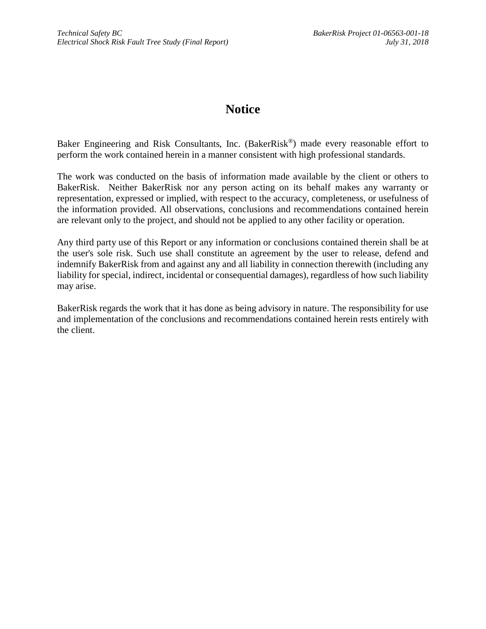### **Notice**

Baker Engineering and Risk Consultants, Inc. (BakerRisk®) made every reasonable effort to perform the work contained herein in a manner consistent with high professional standards.

The work was conducted on the basis of information made available by the client or others to BakerRisk. Neither BakerRisk nor any person acting on its behalf makes any warranty or representation, expressed or implied, with respect to the accuracy, completeness, or usefulness of the information provided. All observations, conclusions and recommendations contained herein are relevant only to the project, and should not be applied to any other facility or operation.

Any third party use of this Report or any information or conclusions contained therein shall be at the user's sole risk. Such use shall constitute an agreement by the user to release, defend and indemnify BakerRisk from and against any and all liability in connection therewith (including any liability for special, indirect, incidental or consequential damages), regardless of how such liability may arise.

BakerRisk regards the work that it has done as being advisory in nature. The responsibility for use and implementation of the conclusions and recommendations contained herein rests entirely with the client.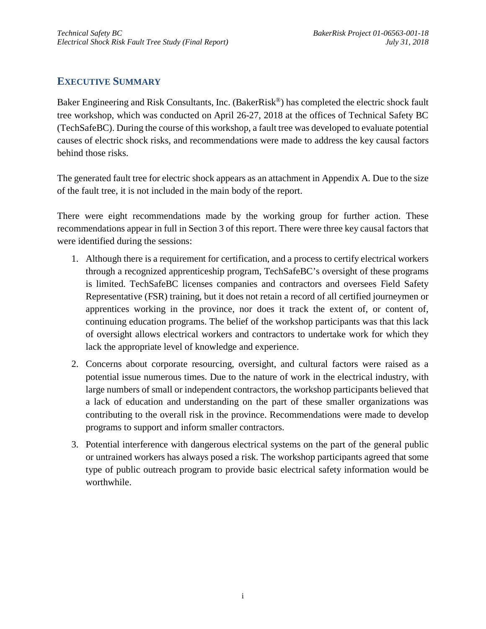#### <span id="page-2-0"></span>**EXECUTIVE SUMMARY**

Baker Engineering and Risk Consultants, Inc. (BakerRisk<sup>®</sup>) has completed the electric shock fault tree workshop, which was conducted on April 26-27, 2018 at the offices of Technical Safety BC (TechSafeBC). During the course of this workshop, a fault tree was developed to evaluate potential causes of electric shock risks, and recommendations were made to address the key causal factors behind those risks.

The generated fault tree for electric shock appears as an attachment i[n Appendix A.](#page-10-0) Due to the size of the fault tree, it is not included in the main body of the report.

There were eight recommendations made by the working group for further action. These recommendations appear in full in Section [3](#page-7-0) of this report. There were three key causal factors that were identified during the sessions:

- 1. Although there is a requirement for certification, and a process to certify electrical workers through a recognized apprenticeship program, TechSafeBC's oversight of these programs is limited. TechSafeBC licenses companies and contractors and oversees Field Safety Representative (FSR) training, but it does not retain a record of all certified journeymen or apprentices working in the province, nor does it track the extent of, or content of, continuing education programs. The belief of the workshop participants was that this lack of oversight allows electrical workers and contractors to undertake work for which they lack the appropriate level of knowledge and experience.
- 2. Concerns about corporate resourcing, oversight, and cultural factors were raised as a potential issue numerous times. Due to the nature of work in the electrical industry, with large numbers of small or independent contractors, the workshop participants believed that a lack of education and understanding on the part of these smaller organizations was contributing to the overall risk in the province. Recommendations were made to develop programs to support and inform smaller contractors.
- 3. Potential interference with dangerous electrical systems on the part of the general public or untrained workers has always posed a risk. The workshop participants agreed that some type of public outreach program to provide basic electrical safety information would be worthwhile.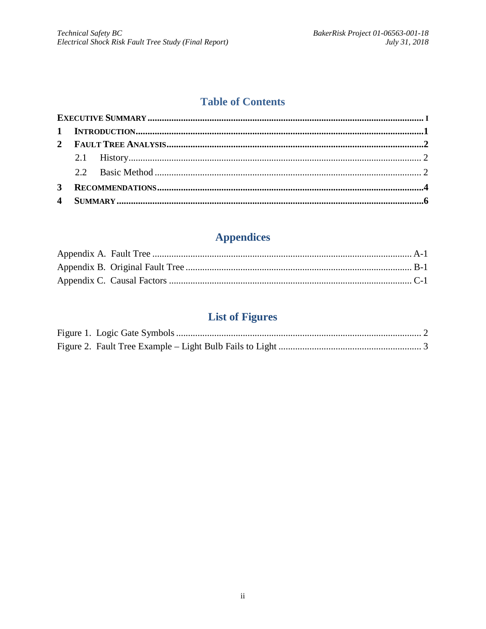#### **Table of Contents**

| 3 <sup>1</sup> |  |  |  |  |  |  |
|----------------|--|--|--|--|--|--|
|                |  |  |  |  |  |  |

## **Appendices**

## **List of Figures**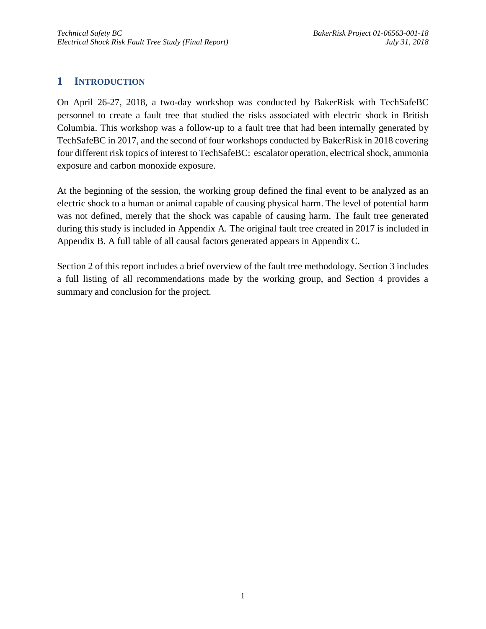#### <span id="page-4-0"></span>**1 INTRODUCTION**

On April 26-27, 2018, a two-day workshop was conducted by BakerRisk with TechSafeBC personnel to create a fault tree that studied the risks associated with electric shock in British Columbia. This workshop was a follow-up to a fault tree that had been internally generated by TechSafeBC in 2017, and the second of four workshops conducted by BakerRisk in 2018 covering four different risk topics of interest to TechSafeBC: escalator operation, electrical shock, ammonia exposure and carbon monoxide exposure.

At the beginning of the session, the working group defined the final event to be analyzed as an electric shock to a human or animal capable of causing physical harm. The level of potential harm was not defined, merely that the shock was capable of causing harm. The fault tree generated during this study is included in [Appendix A.](#page-10-0) The original fault tree created in 2017 is included in [Appendix B.](#page-11-0) A full table of all causal factors generated appears in [Appendix C.](#page-12-0)

Section [2](#page-5-0) of this report includes a brief overview of the fault tree methodology. Section [3](#page-7-0) includes a full listing of all recommendations made by the working group, and Section [4](#page-9-0) provides a summary and conclusion for the project.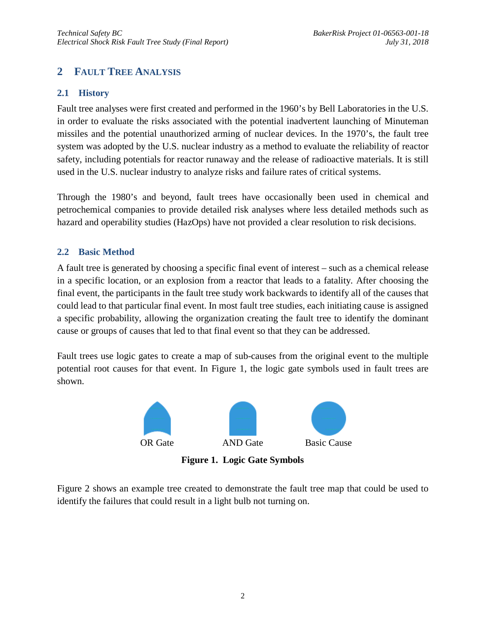#### <span id="page-5-0"></span>**2 FAULT TREE ANALYSIS**

#### <span id="page-5-1"></span>**2.1 History**

Fault tree analyses were first created and performed in the 1960's by Bell Laboratories in the U.S. in order to evaluate the risks associated with the potential inadvertent launching of Minuteman missiles and the potential unauthorized arming of nuclear devices. In the 1970's, the fault tree system was adopted by the U.S. nuclear industry as a method to evaluate the reliability of reactor safety, including potentials for reactor runaway and the release of radioactive materials. It is still used in the U.S. nuclear industry to analyze risks and failure rates of critical systems.

Through the 1980's and beyond, fault trees have occasionally been used in chemical and petrochemical companies to provide detailed risk analyses where less detailed methods such as hazard and operability studies (HazOps) have not provided a clear resolution to risk decisions.

#### <span id="page-5-2"></span>**2.2 Basic Method**

A fault tree is generated by choosing a specific final event of interest – such as a chemical release in a specific location, or an explosion from a reactor that leads to a fatality. After choosing the final event, the participants in the fault tree study work backwards to identify all of the causes that could lead to that particular final event. In most fault tree studies, each initiating cause is assigned a specific probability, allowing the organization creating the fault tree to identify the dominant cause or groups of causes that led to that final event so that they can be addressed.

Fault trees use logic gates to create a map of sub-causes from the original event to the multiple potential root causes for that event. In Figure 1, the logic gate symbols used in fault trees are shown.



**Figure 1. Logic Gate Symbols**

<span id="page-5-3"></span>Figure 2 shows an example tree created to demonstrate the fault tree map that could be used to identify the failures that could result in a light bulb not turning on.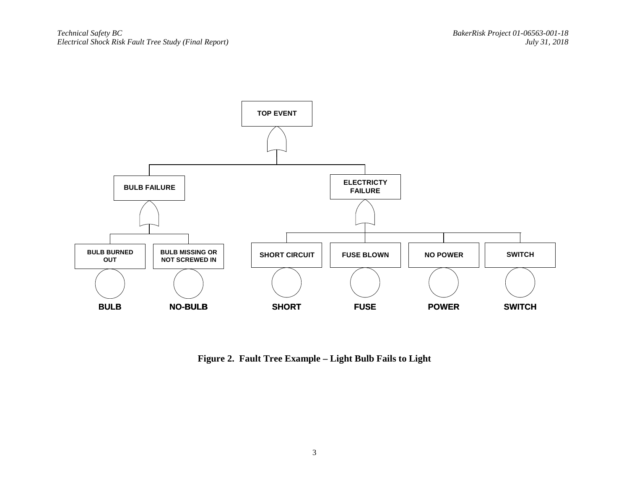

<span id="page-6-0"></span>**Figure 2. Fault Tree Example – Light Bulb Fails to Light**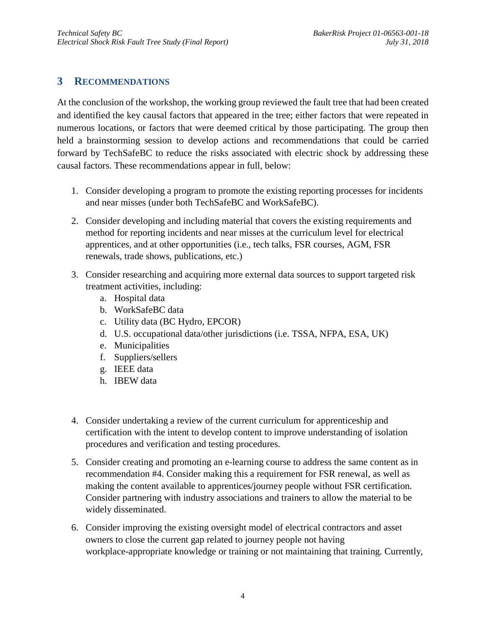#### <span id="page-7-0"></span>**3 RECOMMENDATIONS**

At the conclusion of the workshop, the working group reviewed the fault tree that had been created and identified the key causal factors that appeared in the tree; either factors that were repeated in numerous locations, or factors that were deemed critical by those participating. The group then held a brainstorming session to develop actions and recommendations that could be carried forward by TechSafeBC to reduce the risks associated with electric shock by addressing these causal factors. These recommendations appear in full, below:

- 1. Consider developing a program to promote the existing reporting processes for incidents and near misses (under both TechSafeBC and WorkSafeBC).
- 2. Consider developing and including material that covers the existing requirements and method for reporting incidents and near misses at the curriculum level for electrical apprentices, and at other opportunities (i.e., tech talks, FSR courses, AGM, FSR renewals, trade shows, publications, etc.)
- 3. Consider researching and acquiring more external data sources to support targeted risk treatment activities, including:
	- a. Hospital data
	- b. WorkSafeBC data
	- c. Utility data (BC Hydro, EPCOR)
	- d. U.S. occupational data/other jurisdictions (i.e. TSSA, NFPA, ESA, UK)
	- e. Municipalities
	- f. Suppliers/sellers
	- g. IEEE data
	- h. IBEW data
- 4. Consider undertaking a review of the current curriculum for apprenticeship and certification with the intent to develop content to improve understanding of isolation procedures and verification and testing procedures.
- 5. Consider creating and promoting an e-learning course to address the same content as in recommendation #4. Consider making this a requirement for FSR renewal, as well as making the content available to apprentices/journey people without FSR certification. Consider partnering with industry associations and trainers to allow the material to be widely disseminated.
- 6. Consider improving the existing oversight model of electrical contractors and asset owners to close the current gap related to journey people not having workplace-appropriate knowledge or training or not maintaining that training. Currently,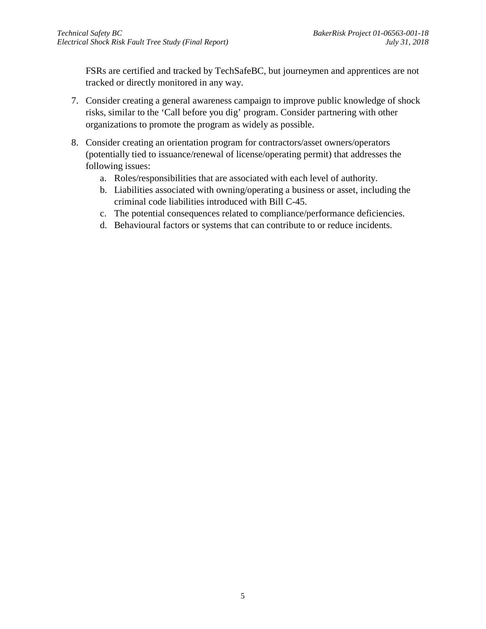FSRs are certified and tracked by TechSafeBC, but journeymen and apprentices are not tracked or directly monitored in any way.

- 7. Consider creating a general awareness campaign to improve public knowledge of shock risks, similar to the 'Call before you dig' program. Consider partnering with other organizations to promote the program as widely as possible.
- 8. Consider creating an orientation program for contractors/asset owners/operators (potentially tied to issuance/renewal of license/operating permit) that addresses the following issues:
	- a. Roles/responsibilities that are associated with each level of authority.
	- b. Liabilities associated with owning/operating a business or asset, including the criminal code liabilities introduced with Bill C-45.
	- c. The potential consequences related to compliance/performance deficiencies.
	- d. Behavioural factors or systems that can contribute to or reduce incidents.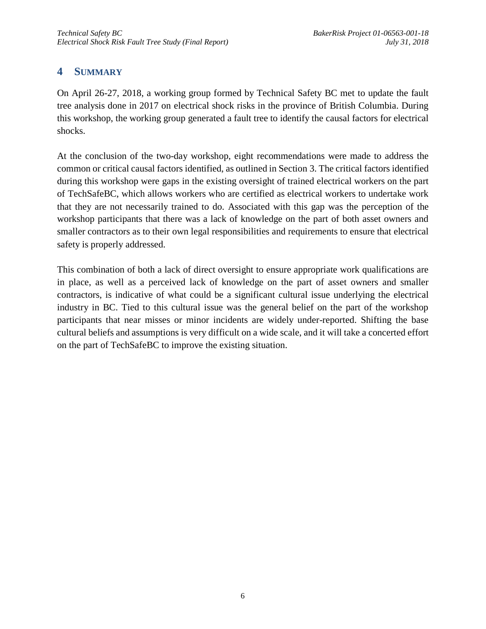#### <span id="page-9-0"></span>**4 SUMMARY**

On April 26-27, 2018, a working group formed by Technical Safety BC met to update the fault tree analysis done in 2017 on electrical shock risks in the province of British Columbia. During this workshop, the working group generated a fault tree to identify the causal factors for electrical shocks.

At the conclusion of the two-day workshop, eight recommendations were made to address the common or critical causal factors identified, as outlined in Section [3.](#page-7-0) The critical factors identified during this workshop were gaps in the existing oversight of trained electrical workers on the part of TechSafeBC, which allows workers who are certified as electrical workers to undertake work that they are not necessarily trained to do. Associated with this gap was the perception of the workshop participants that there was a lack of knowledge on the part of both asset owners and smaller contractors as to their own legal responsibilities and requirements to ensure that electrical safety is properly addressed.

This combination of both a lack of direct oversight to ensure appropriate work qualifications are in place, as well as a perceived lack of knowledge on the part of asset owners and smaller contractors, is indicative of what could be a significant cultural issue underlying the electrical industry in BC. Tied to this cultural issue was the general belief on the part of the workshop participants that near misses or minor incidents are widely under-reported. Shifting the base cultural beliefs and assumptions is very difficult on a wide scale, and it will take a concerted effort on the part of TechSafeBC to improve the existing situation.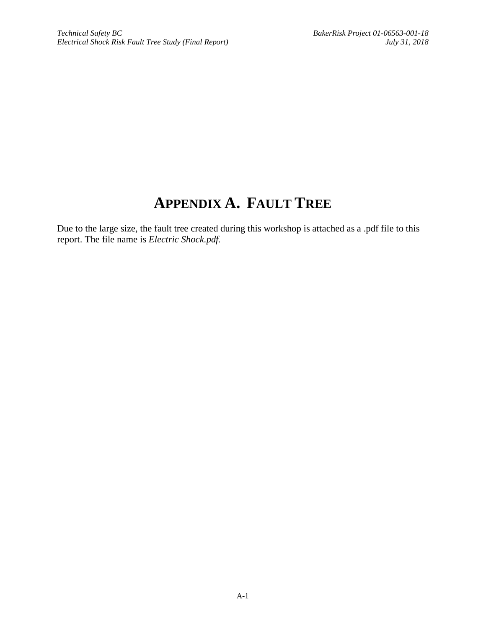## **APPENDIX A. FAULT TREE**

<span id="page-10-0"></span>Due to the large size, the fault tree created during this workshop is attached as a .pdf file to this report. The file name is *Electric Shock.pdf.*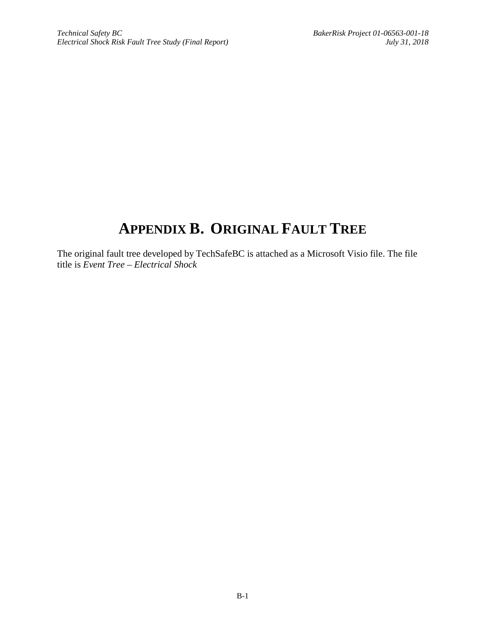## <span id="page-11-0"></span>**APPENDIX B. ORIGINAL FAULT TREE**

The original fault tree developed by TechSafeBC is attached as a Microsoft Visio file. The file title is *Event Tree – Electrical Shock*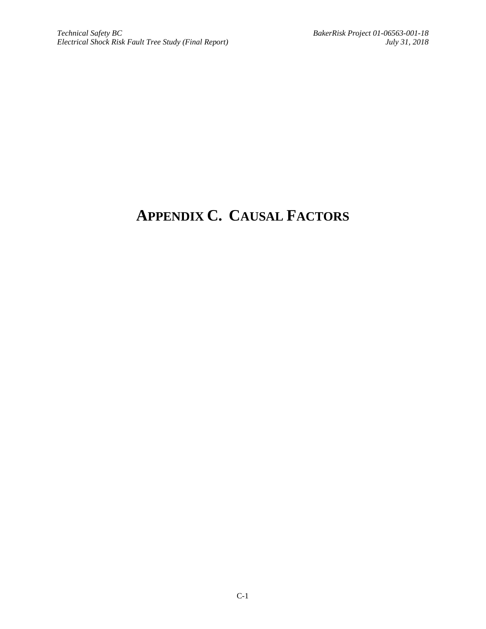# <span id="page-12-0"></span>**APPENDIX C. CAUSAL FACTORS**